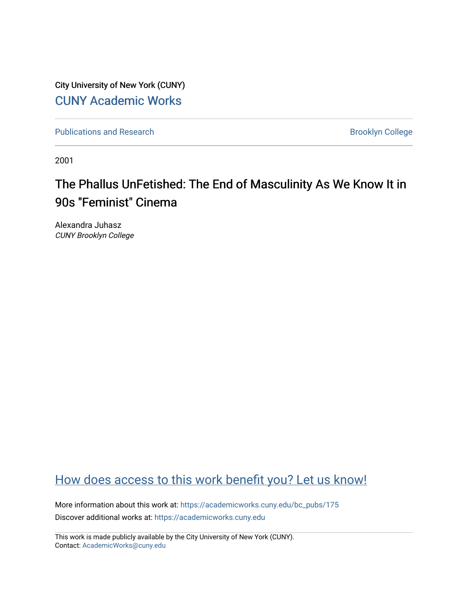City University of New York (CUNY) [CUNY Academic Works](https://academicworks.cuny.edu/) 

[Publications and Research](https://academicworks.cuny.edu/bc_pubs) **Brooklyn College** Brooklyn College

2001

# The Phallus UnFetished: The End of Masculinity As We Know It in 90s "Feminist" Cinema

Alexandra Juhasz CUNY Brooklyn College

## [How does access to this work benefit you? Let us know!](http://ols.cuny.edu/academicworks/?ref=https://academicworks.cuny.edu/bc_pubs/175)

More information about this work at: [https://academicworks.cuny.edu/bc\\_pubs/175](https://academicworks.cuny.edu/bc_pubs/175) Discover additional works at: [https://academicworks.cuny.edu](https://academicworks.cuny.edu/?)

This work is made publicly available by the City University of New York (CUNY). Contact: [AcademicWorks@cuny.edu](mailto:AcademicWorks@cuny.edu)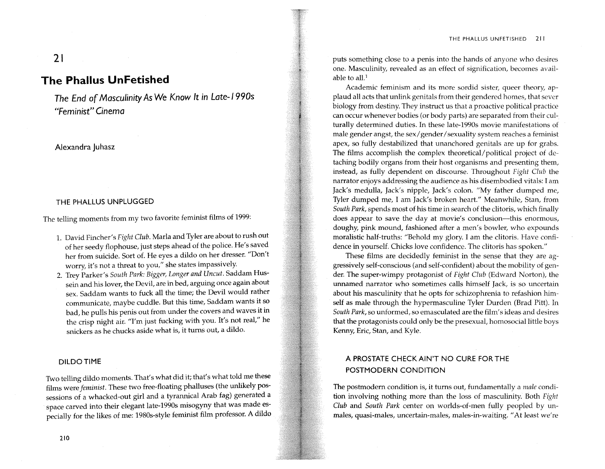21

### **The Phallus UnFetished**

*The End* of *Masculinity As* We *Know It in Late-/ 990s "Feminist" Cinema* 

Alexandra Juhasz

#### THE PHALLUS UNPLUGGED

The telling moments from my two favorite feminist films of 1999:

- 1. David Pincher's *Fight Club.* Marla and Tyler are about to rush out of her seedy flophouse, just steps ahead of the police. He's saved her from suicide. Sort of. He eyes a dildo on her dresser. "Don't worry, it's not a threat to you," she states impassively.
- 2. Trey Parker's *South Park: Bigger, Longer and Uncut.* Saddam Hussein and his lover, the Devil, are in bed, arguing once again about sex. Saddam wants to fuck all the time; the Devil would rather communicate, maybe cuddle. But this time, Saddam wants it so bad, he pulls his penis out from under the covers and waves **it** in the crisp night air. 'Tm just fucking with you. It's not real," he snickers as he chucks aside what is, it turns out, a dildo.

#### **DILDO TIME**

Two telling dildo moments. That's what did it; that's what told me these films were *feminist.* These two free-floating phalluses (the unlikely possessions of a whacked-out girl and a tyrannical Arab fag) generated a space carved into their elegant late-1990s misogyny that was made especially for the likes of me: 1980s-style feminist film professor. A dildo puts something close to a penis into the hands of anyone who desires one. Masculinity, revealed as an effect of signification, becomes available to all. $<sup>1</sup>$ </sup>

Academic feminism and its more sordid sister, queer theory, applaud all acts that unlink genitals from their gendered homes, that sever biology from destiny. They instruct us that a proactive political practice can occur whenever bodies (or body parts) are separated from their culturally determined duties. In these late-1990s movie manifestations of male gender angst, the sex/ gender/ sexuality system reaches a feminist apex, so fully destabilized that unanchored genitals are up for grabs. The films accomplish the complex theoretical/political project of detaching bodily organs from their host organisms and presenting them, instead, as fully dependent on discourse. Throughout *Fight Club* the narrator enjoys addressing the audience as his disembodied vitals: I am Jack's medulla, Jack's nipple, Jack's colon. "My father dumped me, Tyler dumped me, I am Jack's broken heart." Meanwhile, Stan, from *South Park,* spends most of his time in search of the clitoris, which finally does appear to save the day at movie's conclusion--this enormous, doughy, pink mound, fashioned after a men's bowler, who expounds moralistic half-truths: "Behold my glory. I am the clitoris. Have confidence in yourself. Chicks love confidence. The clitoris has spoken."

These films are decidedly feminist in the sense that they are aggressively self-conscious (and self-confident) about the mobility of gender. The super-wimpy protagonist of *Fight Club* (Edward Norton), the unnamed narrator who sometimes calls himself Jack, is so uncertain about his masculinity that he opts for schizophrenia to refashion himself as male through the hypermasculine Tyler Durden (Brad Pitt). In *South Park,* so unformed, so emasculated are the film's ideas and desires that the protagonists could only be the presexual, homosocial little boys Kenny, Eric, Stan, and Kyle.

#### **A PROSTATE CHECK AIN'T NO** CURE FOR THE **POSTMODERN CONDITION**

The postmodern condition is, it turns out, fundamentally a *male* condition involving nothing more than the loss of masculinity. Both *Fight Club* and *South Park* center on worlds-of-men fully peopled by unmales, quasi-males, uncertain-males, males-in-waiting. "At least we're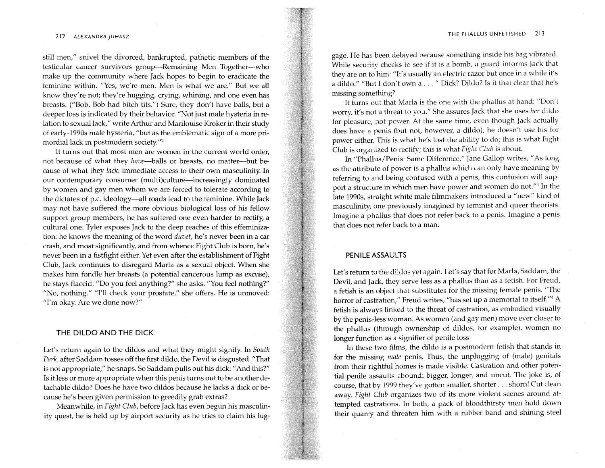still men," snivel the divorced, bankrupted, pathetic members of the testicular cancer survivors group-Remaining Men Together-who make up the community where Jack hopes to begin to eradicate the feminine within. "Yes, we're men. Men is what we are." But we all know they're not; they're hugging, crying, whining, and one even has breasts. ("Bob. Bob had bitch tits.") Sure, they don't have balls, but a deeper loss is indicated by their behavior. "Not just male hysteria in relation to sexual lack," write Arthur and Marilouise Kroker in their study of early-1990s male hysteria, "but as the emblematic sign of a more primordial lack in postmodern society."<sup>2</sup>

It turns out that most men are women in the current world order, not because of what they *have-balls* or breasts, no matter-but because of what they *lack:* immediate access to their own masculinity. In our contemporary consumer (multi)culture-increasingly dominated by women and gay men whom we are forced to tolerate according to the dictates of p.c. ideology-all roads lead to the feminine. While Jack may not have suffered the more obvious biological loss of his fellow support group members, he has suffered one even harder to rectify, a cultural one. Tyler exposes Jack to the deep reaches of this effeminization: he knows the meaning of the word *duvet,* he's never been in a car crash, and most significantly, and from whence Fight Club is born, he's never been in a fistfight either. Yet even after the establishment of Fight Club, Jack continues to disregard Marla as a sexual object. When she makes him fondle her breasts (a potential cancerous lump as excuse), he stays flaccid. "Do you feel anything?" she asks. "You feel nothing?" "No, nothing." 'Tll check your prostate," she offers. He is unmoved: 'Tm okay. Are we done now?"

#### THE DILDO AND THE DICK

Let's return again to the dildos and what they might signify. In *South Park,* after Saddam tosses off the first dildo, the Devil is disgusted. "That is not appropriate," he snaps. So Saddam pulls out his dick: "And this?" Is it less or more appropriate when this penis turns out to be another detachable dildo? Does he have two dildos because he lacks a dick or because he's been given permission to greedily grab extras?

Meanwhile, in *Fight Club,* before Jack has even begun his masculinity quest, he is held up by airport security as he tries to claim his luggage. He has been delayed because something inside his bag vibrated. While security checks to see if it is a bomb, a guard informs Jack that they are on to him: "It's usually an electric razor but once in a while it's a dildo." "But I don't own a ... "Dick? Dildo? Is it that clear that he's missing something?

It turns out that Marla is the one with the phallus at hand: "Don't worry, it's not a threat to you." She assures Jack that she uses *her* dildo for pleasure, not power. At the same time, even though Jack actually does have a penis (but not, however, a dildo), he doesn't use his for power either. This is what he's lost the ability to do; this is what Fight Club is organized to rectify; this is what *Fight Club* is about.

In "Phallus/Penis: Same Difference," Jane Gallop writes, "As long as the attribute of power is a phallus which can only have meaning by referring to and being confused with a penis, this confusion will support a structure in which men have power and women do not."<sup>3</sup> In the late 1990s, straight white male filmmakers introduced a "new" kind of masculinity, one previously imagined by feminist and queer theorists. Imagine a phallus that does not refer back to a penis. Imagine a penis that does not refer back to a man.

#### **PENILE ASSAULTS**

Let's return to the dildos yet again. Let's say that for Marla, Saddam, the Devil, and Jack, they serve less as a phallus than as a fetish. For Freud, a fetish is an object that substitutes for the missing female penis. "The horror of castration," Freud writes, "has set up a memorial to itself."4 A fetish is always linked to the threat of castration, as embodied visually by the penis-less woman. As women (and gay men) move ever closer to the phallus (through ownership of dildos, for example), women no longer function as a signifier of penile loss.

In these two films, the dildo is a postmodern fetish that stands in for the missing *male* penis. Thus, the unplugging of (male) genitals from their rightful homes is made visible. Castration and other potential penile assaults abound: bigger, longer, and uncut. The joke is, of course, that by 1999 they've gotten smaller, shorter ... shorn! Cut clean away. *Fight Club* organizes two of its more violent scenes around attempted castrations. In both, a pack of bloodthirsty men hold down their quarry and threaten him with a rubber band and shining steel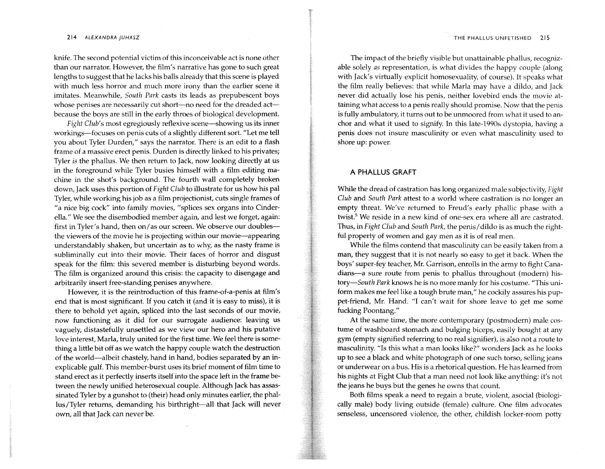knife. The second potential victim of this inconceivable act is none other than our narrator. However, the film's narrative has gone to such great lengths to suggest that he lacks his balls already that this scene is played with much less horror and much more irony than the earlier scene it imitates. Meanwhile, *South Park* casts its leads as prepubescent boys whose penises are necessarily cut short-no need for the dreaded actbecause the boys are still in the early throes of biological development.

*Fight Club's* most egregiously reflexive scene—showing us its inner workings-focuses on penis cuts of a slightly different sort. "Let me tell you about Tyler Durden," says the narrator. There is an edit to a flash frame of a massive erect penis. Durden is directly linked to his privates; Tyler *is* the phallus. We then return to Jack, now looking directly at us in the foreground while Tyler busies himself with a film editing machine in the shot's background. The fourth wall completely broken down, Jack uses this portion of *Fight Club* to illustrate for us how his pal Tyler, while working his job as a film projectionist, cuts single frames of "a nice big cock" into family movies, "splices sex organs into Cinderella." We see the disembodied member again, and lest we forget, again: first in Tyler's hand, then on/as our screen. We observe our doublesthe viewers of the movie he is projecting within our movie-appearing understandably shaken, but uncertain as to why, as the nasty frame is subliminally cut into their movie. Their faces of horror and disgust speak for the film: this severed member is disturbing beyond words. The film is organized around this crisis: the capacity to disengage and arbitrarily insert free-standing penises anywhere.

However, it is the reintroduction of this frame-of-a-penis at film's end that is most significant. If you catch it (and it is easy to miss), it is there to behold yet again, spliced into the last seconds of our movie, now functioning as it did for our surrogate audience: leaving us vaguely, distastefully unsettled as we view our hero and his putative love interest, Marla, truly united for the first time. We feel there is something a little bit off as we watch the happy couple watch the destruction of the world-albeit chastely, hand in hand, bodies separated by an inexplicable gulf. This member-burst uses its brief moment of film time to stand erect as it perfectly inserts itself into the space left in the frame between the newly unified heterosexual couple. Although Jack has assassinated Tyler by a gunshot to (their) head only minutes earlier, the phallus/Tyler returns, demanding his birthright-all that Jack will never own, all that Jack can never be.

The impact of the briefly visible but unattainable phallus, recognizable solely *as* representation, is what divides the happy couple (along with Jack's virtually explicit homosexuality, of course). It speaks what the film really believes: that while Marla may have a dildo, and Jack never did actually lose his penis, neither lovebird ends the movie attaining what access to a penis really should promise. Now that the penis is fully ambulatory, it turns out to be unmoored from what it used to anchor and what it used to signify. In this late-1990s dystopia, having a penis does not insure masculinity or even what masculinity used to shore up: power.

#### **A PHALLUS GRAFT**

While the dread of castration has long organized male subjectivity, *Fight Club* and *South Park* attest to a world where castration is no longer an empty threat. We've returned to Freud's early phallic phase with a twist.<sup>5</sup> We reside in a new kind of one-sex era where all are castrated. Thus, in *Fight Club* and *South Park,* the penis/ dildo is as much the rightful property of women and gay men as it is of real men.

While the films contend that masculinity can be easily taken from a man, they suggest that it is not nearly so easy to get it back. When the boys' super-fey teacher, Mr. Garrison, enrolls in the army to fight Canadians-a sure route from penis to phallus throughout (modern) his*tory-South Park* knows he is no more manly for his costume. "This uniform makes me feel like a tough brute man," he cockily assures his puppet-friend, Mr. Hand. "I can't wait for shore leave to get me some fucking Poontang."

At the same time, the more contemporary (postmodern) male costume of washboard stomach and bulging biceps, easily bought at any gym (empty signified referring to no real signifier), is also not a route to masculinity. "Is this what a man looks like?" wonders Jack as he looks up to see a black and white photograph of one such torso, selling jeans or underwear on a bus. His is a rhetorical question. He has learned from his nights at Fight Club that a man need not look like anything: it's not the jeans he buys but the genes he owns that count.

Both films speak a need to regain a brute, violent, asocial (biologically male) body living outside (female) culture. One film advocates senseless, uncensored violence, the other, childish locker-room potty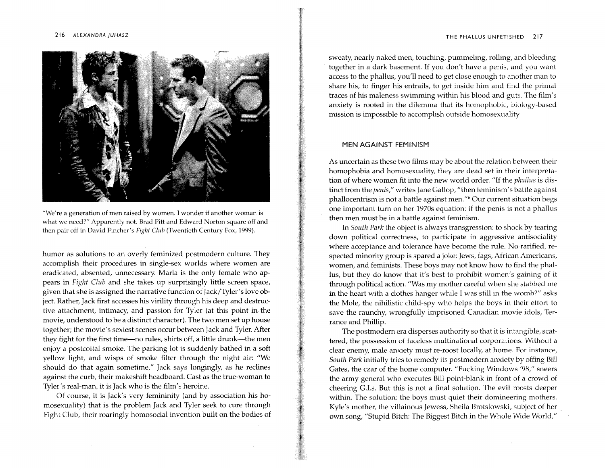

"We're a generation of men raised by women. I wonder if another woman is what we need?" Apparently not. Brad Pitt and Edward Norton square off and then pair off in David Pincher's Fight Club (Twentieth Century Fox, 1999).

humor as solutions to an overly feminized postmodern culture. They accomplish their procedures in single-sex worlds where women are eradicated, absented, unnecessary. Marla is the only female who appears in *Fight Club* and she takes up surprisingly little screen space, given that she is assigned the narrative function of Jack/Tyler's love object. Rather, Jack first accesses his virility through his deep and destructive attachment, intimacy, and passion for Tyler (at this point in the movie, understood to be a distinct character). The two men set up house together; the movie's sexiest scenes occur between Jack and Tyler. After they fight for the first time-no rules, shirts off, a little drunk-the men enjoy a postcoital smoke. The parking lot is suddenly bathed in a soft yellow light, and wisps of smoke filter through the night air: "We should do that again sometime," Jack says longingly, as he reclines against the curb, their makeshift headboard. Cast as the true-woman to Tyler's real-man, it is Jack who is the film's heroine.

Of course, it is Jack's very femininity (and by association his homosexuality) that is the problem Jack and Tyler seek to cure through Fight Club, their roaringly homosocial invention built on the bodies of sweaty, nearly naked men, touching, pummeling, rolling, and bleeding together in a dark basement. If you don't have a penis, and you want access to the phallus, you'll need to get close enough to another man to share his, to finger his entrails, to get inside him and find the primal traces of his maleness swimming within his blood and guts. The film's anxiety is rooted in the dilemma that its homophobic, biology-based mission is impossible to accomplish outside homosexuality.

#### **MEN AGAINST FEMINISM**

As uncertain as these two films may be about the relation between their homophobia and homosexuality, they are dead set in their interpretation of where women fit into the new world order. "If the *phallus* is distinct from the *penis,"* writes Jane Gallop, "then feminism's battle against phallocentrism is not a battle against men."6 Our current situation begs one important turn on her 1970s equation: if the penis is not a phallus then men must be in a battle against feminism.

In *South Park* the object is always transgression: to shock by tearing down political correctness, to participate in aggressive antisociality where acceptance and tolerance have become the rule. No rarified, respected minority group is spared a joke: Jews, fags, African Americans, women, and feminists. These boys may not know how to find the phallus, but they do know that it's best to prohibit women's gaining of it through political action. "Was my mother careful when she stabbed me in the heart with a clothes hanger while I was still in the womb?" asks the Mole, the nihilistic child-spy who helps the boys in their effort to save the raunchy, wrongfully imprisoned Canadian movie idols, Terrance and Phillip.

The postmodern era disperses authority so that it is intangible, scattered, the possession of faceless multinational corporations. Without a clear enemy, male anxiety must re-roost locally, at home. For instance, *South Park* initially tries to remedy its postmodern anxiety by offing Bill Gates, the czar of the home computer. "Fucking Windows '98," sneers the army general who executes Bill point-blank in front of a crowd of cheering G.I.s. But this is not a final solution. The evil roosts deeper within. The solution: the boys must quiet their domineering mothers. Kyle's mother, the villainous Jewess, Sheila Brotslowski, subject of her own song, "Stupid Bitch: The Biggest Bitch in the Whole Wide World,"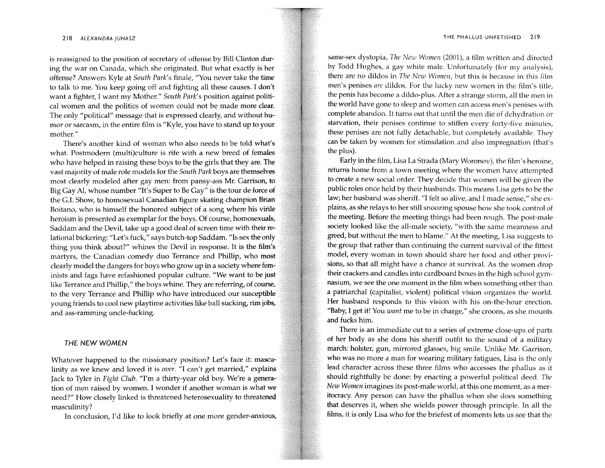is reassigned to the position of secretary of offense by Bill Clinton during the war on Canada, which she originated. But what exactly is her offense? Answers Kyle at *South Park's* finale, "You never take the time to talk to me. You keep going off and fighting all these causes. I don't want a fighter, I want my Mother." *South Park's* position against political women and the politics of women could not be made more clear. The only "political" message that is expressed clearly, and without humor or sarcasm, in the entire film is "Kyle, you have to stand up to your mother."

There's another kind of woman who also needs to be told what's what. Postmodern (multi)culture is rife with a new breed of females who have helped in raising these boys to be the girls that they are. The vast majority of male role models for the *South Park* boys are themselves most clearly modeled after gay men: from pansy-ass Mr. Garrison, to Big Gay Al, whose number "It's Super to Be Gay" is the tour de force of the G.I. Show, to homosexual Canadian figure skating champion Brian Boitano, who is himself the honored subject of a song where his virile heroism is presented as exemplar for the boys. Of course, homosexuals, Saddam and the Devil, take up a good deal of screen time with their relational bickering: "Let's fuck," says butch-top Saddam. "Is sex the only thing you think about?" whines the Devil in response. It is the film's martyrs, the Canadian comedy duo Terrance and Phillip, who most clearly model the dangers for boys who grow up in a society where feminists and fags have refashioned popular culture. "We want to be just like Terrance and Phillip," the boys whine. They are referring, of course, to the very Terrance and Phillip who have introduced our susceptible young friends to cool new playtime activities like ball sucking, rim jobs, and ass-ramming uncle-fucking.

#### THE NEW WOMEN

Whatever happened to the missionary position? Let's face it: masculinity as we knew and loved it is *over.* "I can't get married," explains Jack to Tyler in *Fight Club.* "I'm a thirty-year old boy. We're a generation of men raised by women. I wonder if another woman is what we need?" How closely linked is threatened heterosexuality to threatened masculinity?

In conclusion, I'd like to look briefly at one more gender-anxious,

same-sex dystopia, *The New Women* (2001), a film written and directed by Todd Hughes, a gay white male. Unfortunately (for my analysis), there are no dildos in *The New Women,* but this is because in this film men's penises *are* dildos. For the lucky new women in the film's title, the penis has become a dildo-plus. After a strange storm, all the men in the world have gone to sleep and women can access men's penises with complete abandon. It turns out that until the men die of dehydration or starvation, their penises continue to stiffen every forty-five minutes, these penises are not fully detachable, but completely available. They can be taken by women for stimulation and also impregnation (that's the plus).

Early in the film, Lisa La Strada (Mary Woronov), the film's heroine, returns home from a town meeting where the women have attempted to create a new social order. They decide that women will be given the public roles once held by their husbands. This means Lisa gets to be the law; her husband was sheriff. "I felt so alive, and I made sense," she explains, as she relays to her still snoozing spouse how she took control of the meeting. Before the meeting things had been rough. The post-male society looked like the all-male society, "with the same meanness and greed, but without the men to blame." At the meeting, Lisa suggests to the group that rather than continuing the current survival of the fittest model, every woman in town should share her food and other provisions, so that all might have a chance at survival. As the women drop their crackers and candles into cardboard boxes in the high school gymnasium, we see the one moment in the film when something other than a patriarchal (capitalist, violent) political vision organizes the world. Her husband responds to this vision with his on-the-hour erection. "Baby, I get it! You *want* me to be in charge," she croons, as she mounts and fucks him.

There is an immediate cut to a series of extreme close-ups of parts of her body as she dons his sheriff outfit to the sound of a military march: holster, gun, mirrored glasses, big smile. Unlike Mr. Garrison, who was no more a man for wearing military fatigues, Lisa is the only lead character across these three films who accesses the phallus as it should rightfully be done: by enacting a powerful political deed. *The New Women* imagines its post-male world, at this one moment, as a meritocracy. Any person can have the phallus when she does something that deserves it, when she wields power through principle. In all the films, it is only Lisa who for the briefest of moments lets us see that the